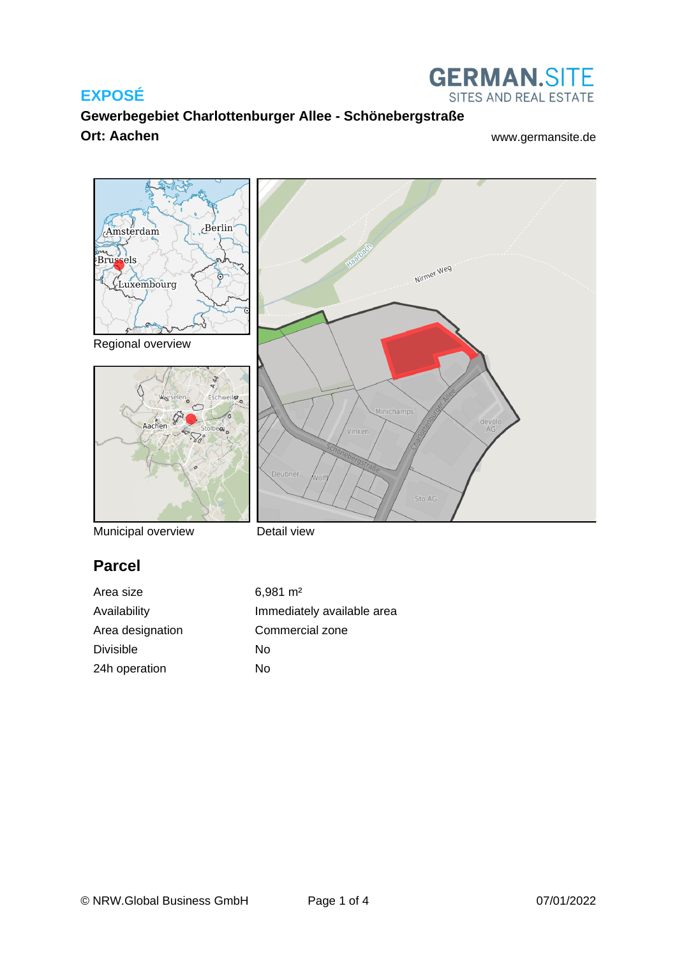

**GERMAN.SITE** SITES AND REAL ESTATE



Municipal overview

Detail view

## **Parcel**

Area size 6,981 m<sup>2</sup> Area designation Commercial zone Divisible No 24h operation No

Availability **Immediately** available area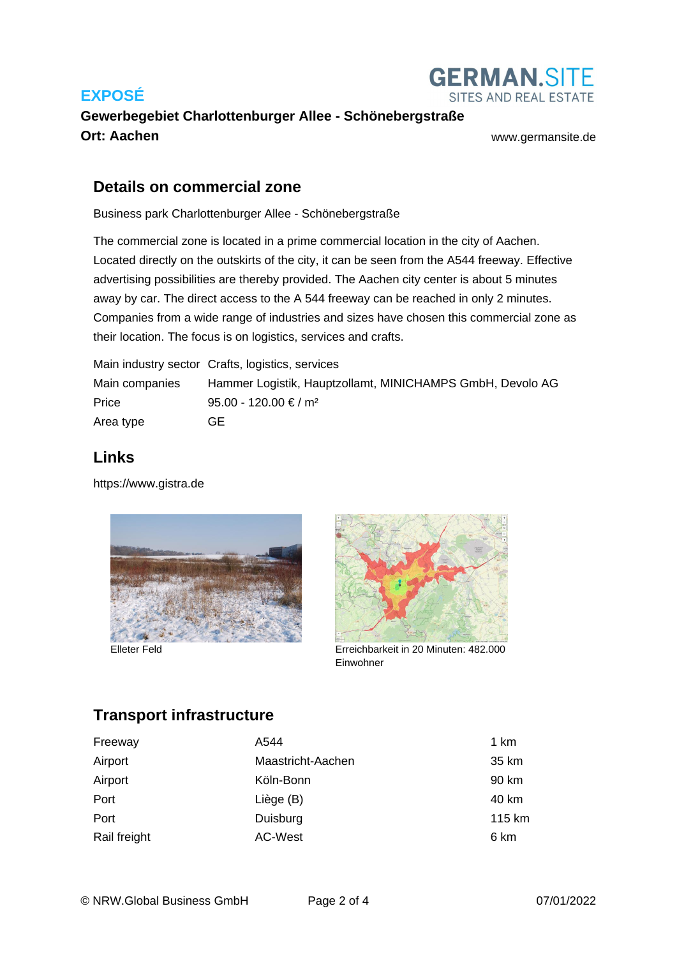

#### **Gewerbegebiet Charlottenburger Allee - Schönebergstraße Ort: Aachen** [www.germansite.de](http://www.germansite.de)

#### **Details on commercial zone**

Business park Charlottenburger Allee - Schönebergstraße

The commercial zone is located in a prime commercial location in the city of Aachen. Located directly on the outskirts of the city, it can be seen from the A544 freeway. Effective advertising possibilities are thereby provided. The Aachen city center is about 5 minutes away by car. The direct access to the A 544 freeway can be reached in only 2 minutes. Companies from a wide range of industries and sizes have chosen this commercial zone as their location. The focus is on logistics, services and crafts.

Main industry sector Crafts, logistics, services Main companies Hammer Logistik, Hauptzollamt, MINICHAMPS GmbH, Devolo AG Price 95.00 - 120.00 € / m<sup>2</sup> Area type GE

#### **Links**

<https://www.gistra.de>



Elleter Feld



Erreichbarkeit in 20 Minuten: 482.000 Einwohner

## **Transport infrastructure**

| Freeway      | A544              | 1 km   |
|--------------|-------------------|--------|
| Airport      | Maastricht-Aachen | 35 km  |
| Airport      | Köln-Bonn         | 90 km  |
| Port         | Liège (B)         | 40 km  |
| Port         | Duisburg          | 115 km |
| Rail freight | AC-West           | 6 km   |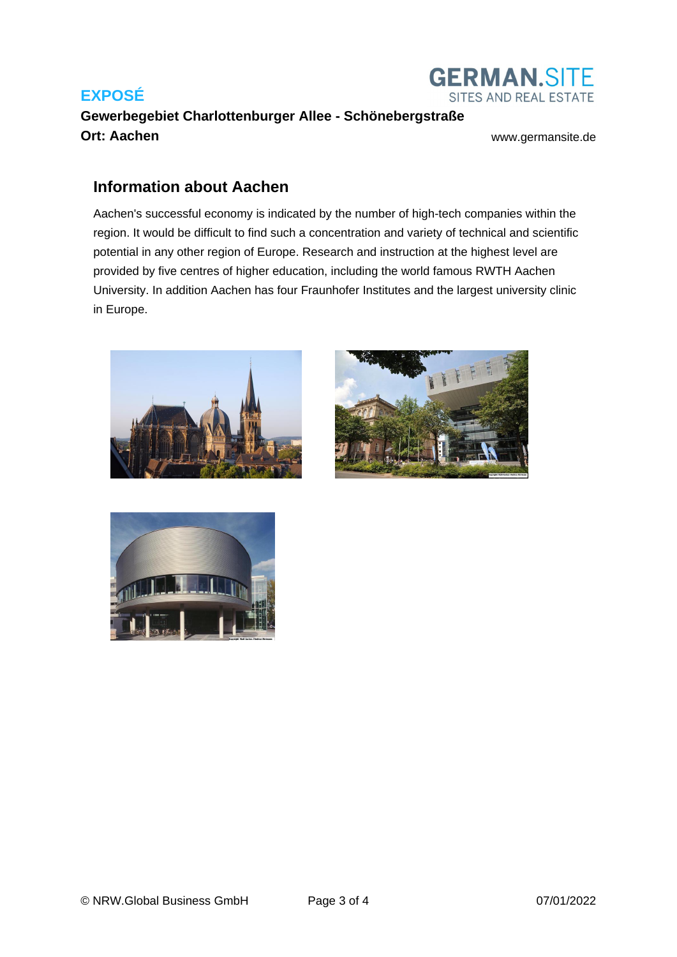

# **Gewerbegebiet Charlottenburger Allee - Schönebergstraße Ort: Aachen [www.germansite.de](http://www.germansite.de)**

#### **Information about Aachen**

Aachen's successful economy is indicated by the number of high-tech companies within the region. It would be difficult to find such a concentration and variety of technical and scientific potential in any other region of Europe. Research and instruction at the highest level are provided by five centres of higher education, including the world famous RWTH Aachen University. In addition Aachen has four Fraunhofer Institutes and the largest university clinic in Europe.